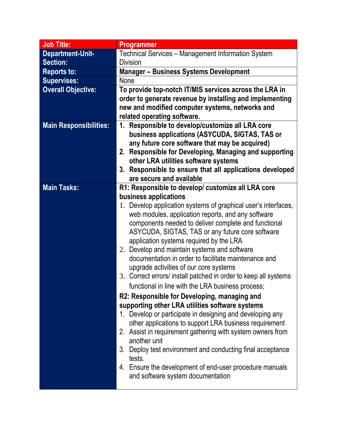| <b>Job Title:</b>             | Programmer                                                                                                                                                                                                                                                                                                                                                                                                                                                                                                                                                                                                                                                                                                                                                                                                                                                                                                                                                                                                                                                        |
|-------------------------------|-------------------------------------------------------------------------------------------------------------------------------------------------------------------------------------------------------------------------------------------------------------------------------------------------------------------------------------------------------------------------------------------------------------------------------------------------------------------------------------------------------------------------------------------------------------------------------------------------------------------------------------------------------------------------------------------------------------------------------------------------------------------------------------------------------------------------------------------------------------------------------------------------------------------------------------------------------------------------------------------------------------------------------------------------------------------|
| Department-Unit-              | Technical Services - Management Information System                                                                                                                                                                                                                                                                                                                                                                                                                                                                                                                                                                                                                                                                                                                                                                                                                                                                                                                                                                                                                |
| <b>Section:</b>               | <b>Division</b>                                                                                                                                                                                                                                                                                                                                                                                                                                                                                                                                                                                                                                                                                                                                                                                                                                                                                                                                                                                                                                                   |
| <b>Reports to:</b>            | <b>Manager-Business Systems Development</b>                                                                                                                                                                                                                                                                                                                                                                                                                                                                                                                                                                                                                                                                                                                                                                                                                                                                                                                                                                                                                       |
| <b>Supervises:</b>            | <b>None</b>                                                                                                                                                                                                                                                                                                                                                                                                                                                                                                                                                                                                                                                                                                                                                                                                                                                                                                                                                                                                                                                       |
| <b>Overall Objective:</b>     | To provide top-notch IT/MIS services across the LRA in<br>order to generate revenue by installing and implementing<br>new and modified computer systems, networks and<br>related operating software.                                                                                                                                                                                                                                                                                                                                                                                                                                                                                                                                                                                                                                                                                                                                                                                                                                                              |
| <b>Main Responsibilities:</b> | 1. Responsible to develop/customize all LRA core<br>business applications (ASYCUDA, SIGTAS, TAS or<br>any future core software that may be acquired)<br>2. Responsible for Developing, Managing and supporting<br>other LRA utilities software systems<br>3. Responsible to ensure that all applications developed<br>are secure and available                                                                                                                                                                                                                                                                                                                                                                                                                                                                                                                                                                                                                                                                                                                    |
| <b>Main Tasks:</b>            | R1: Responsible to develop/ customize all LRA core                                                                                                                                                                                                                                                                                                                                                                                                                                                                                                                                                                                                                                                                                                                                                                                                                                                                                                                                                                                                                |
|                               | business applications<br>1. Develop application systems of graphical user's interfaces,<br>web modules, application reports, and any software<br>components needed to deliver complete and functional<br>ASYCUDA, SIGTAS, TAS or any future core software<br>application systems required by the LRA<br>2. Develop and maintain systems and software<br>documentation in order to facilitate maintenance and<br>upgrade activities of our core systems<br>3. Correct errors/ install patched in order to keep all systems<br>functional in line with the LRA business process;<br>R2: Responsible for Developing, managing and<br>supporting other LRA utilities software systems<br>1. Develop or participate in designing and developing any<br>other applications to support LRA business requirement<br>2. Assist in requirement gathering with system owners from<br>another unit<br>Deploy test environment and conducting final acceptance<br>3.<br>tests.<br>4. Ensure the development of end-user procedure manuals<br>and software system documentation |